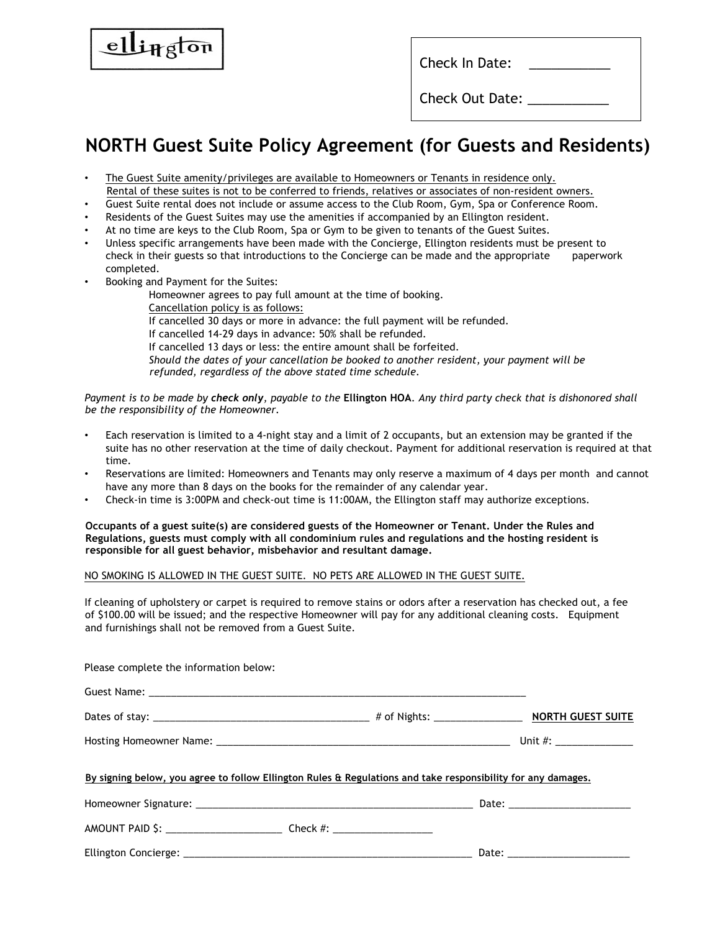| Check In Date:  |
|-----------------|
| Check Out Date: |

## **NORTH Guest Suite Policy Agreement (for Guests and Residents)**

- The Guest Suite amenity/privileges are available to Homeowners or Tenants in residence only. Rental of these suites is not to be conferred to friends, relatives or associates of non-resident owners.
- Guest Suite rental does not include or assume access to the Club Room, Gym, Spa or Conference Room.
- Residents of the Guest Suites may use the amenities if accompanied by an Ellington resident.
- At no time are keys to the Club Room, Spa or Gym to be given to tenants of the Guest Suites.
- Unless specific arrangements have been made with the Concierge, Ellington residents must be present to check in their guests so that introductions to the Concierge can be made and the appropriate paperwork completed.
- Booking and Payment for the Suites:

ington

Homeowner agrees to pay full amount at the time of booking. Cancellation policy is as follows: If cancelled 30 days or more in advance: the full payment will be refunded. If cancelled 14-29 days in advance: 50% shall be refunded. If cancelled 13 days or less: the entire amount shall be forfeited. *Should the dates of your cancellation be booked to another resident, your payment will be refunded, regardless of the above stated time schedule.* 

*Payment is to be made by check only, payable to the* **Ellington HOA***. Any third party check that is dishonored shall be the responsibility of the Homeowner.* 

- Each reservation is limited to a 4-night stay and a limit of 2 occupants, but an extension may be granted if the suite has no other reservation at the time of daily checkout. Payment for additional reservation is required at that time.
- Reservations are limited: Homeowners and Tenants may only reserve a maximum of 4 days per month and cannot have any more than 8 days on the books for the remainder of any calendar year.
- Check-in time is 3:00PM and check-out time is 11:00AM, the Ellington staff may authorize exceptions.

**Occupants of a guest suite(s) are considered guests of the Homeowner or Tenant. Under the Rules and Regulations, guests must comply with all condominium rules and regulations and the hosting resident is responsible for all guest behavior, misbehavior and resultant damage.** 

NO SMOKING IS ALLOWED IN THE GUEST SUITE. NO PETS ARE ALLOWED IN THE GUEST SUITE.

If cleaning of upholstery or carpet is required to remove stains or odors after a reservation has checked out, a fee of \$100.00 will be issued; and the respective Homeowner will pay for any additional cleaning costs. Equipment and furnishings shall not be removed from a Guest Suite.

| Please complete the information below:                                                                       |  |
|--------------------------------------------------------------------------------------------------------------|--|
|                                                                                                              |  |
|                                                                                                              |  |
|                                                                                                              |  |
| By signing below, you agree to follow Ellington Rules & Regulations and take responsibility for any damages. |  |
|                                                                                                              |  |
|                                                                                                              |  |
|                                                                                                              |  |